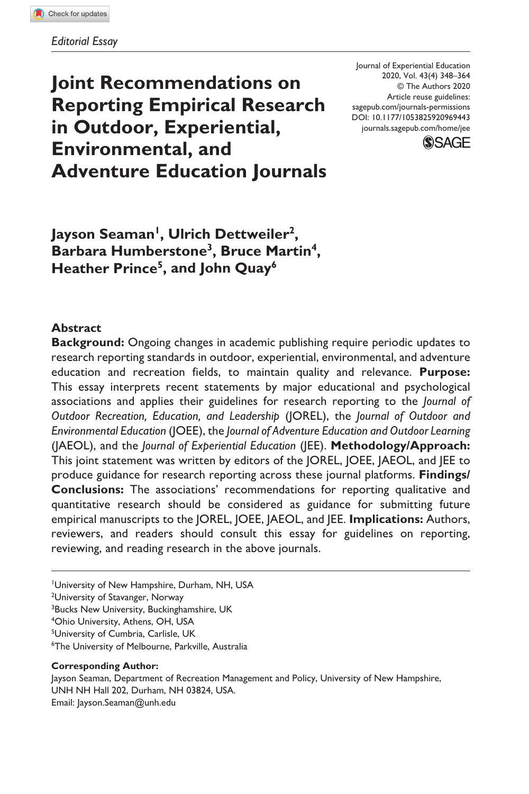**Joint Recommendations on Reporting Empirical Research in Outdoor, Experiential, Environmental, and Adventure Education Journals** DOI: 10.1177/1053825920969443 Journal of Experiential Education 2020, Vol. 43(4) 348–364 © The Authors 2020 Article reuse guidelines: [sagepub.com/journals-permissions](https://us.sagepub.com/en-us/journals-permissions) [journals.sagepub.com/home/jee](https://journals.sagepub.com/home/jee)



Jayson Seaman<sup>1</sup>, Ulrich Dettweiler<sup>2</sup>, **Barbara Humberstone3, Bruce Martin4, Heather Prince5, and John Quay6**

## **Abstract**

**Background:** Ongoing changes in academic publishing require periodic updates to research reporting standards in outdoor, experiential, environmental, and adventure education and recreation fields, to maintain quality and relevance. **Purpose:** This essay interprets recent statements by major educational and psychological associations and applies their guidelines for research reporting to the *Journal of Outdoor Recreation, Education, and Leadership* (JOREL), the *Journal of Outdoor and Environmental Education* (JOEE), the *Journal of Adventure Education and Outdoor Learning* (JAEOL), and the *Journal of Experiential Education* (JEE). **Methodology/Approach:** This joint statement was written by editors of the JOREL, JOEE, JAEOL, and JEE to produce guidance for research reporting across these journal platforms. **Findings/ Conclusions:** The associations' recommendations for reporting qualitative and quantitative research should be considered as guidance for submitting future empirical manuscripts to the JOREL, JOEE, JAEOL, and JEE. **Implications:** Authors, reviewers, and readers should consult this essay for guidelines on reporting, reviewing, and reading research in the above journals.

1 University of New Hampshire, Durham, NH, USA

<sup>2</sup>University of Stavanger, Norway

<sup>3</sup>Bucks New University, Buckinghamshire, UK

4 Ohio University, Athens, OH, USA

<sup>5</sup>University of Cumbria, Carlisle, UK

6 The University of Melbourne, Parkville, Australia

#### **Corresponding Author:**

Jayson Seaman, Department of Recreation Management and Policy, University of New Hampshire, UNH NH Hall 202, Durham, NH 03824, USA. Email: Jayson.Seaman@unh.edu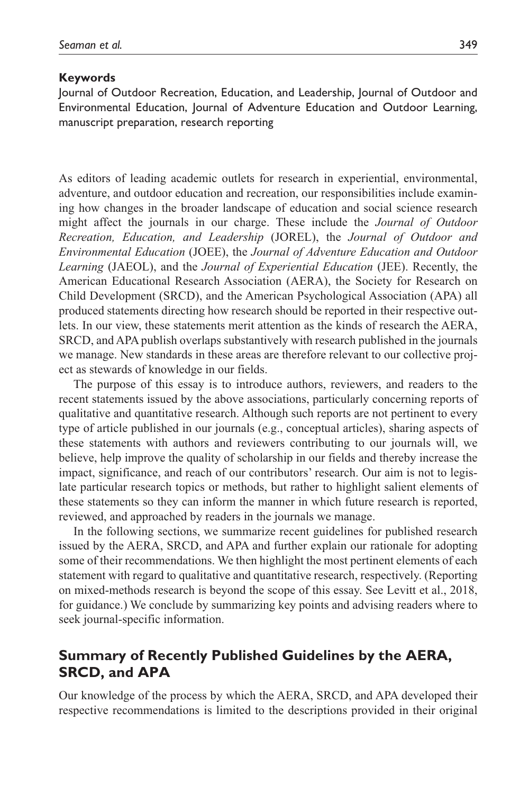#### **Keywords**

Journal of Outdoor Recreation, Education, and Leadership, Journal of Outdoor and Environmental Education, Journal of Adventure Education and Outdoor Learning, manuscript preparation, research reporting

As editors of leading academic outlets for research in experiential, environmental, adventure, and outdoor education and recreation, our responsibilities include examining how changes in the broader landscape of education and social science research might affect the journals in our charge. These include the *Journal of Outdoor Recreation, Education, and Leadership* (JOREL), the *Journal of Outdoor and Environmental Education* (JOEE), the *Journal of Adventure Education and Outdoor Learning* (JAEOL), and the *Journal of Experiential Education* (JEE). Recently, the American Educational Research Association (AERA), the Society for Research on Child Development (SRCD), and the American Psychological Association (APA) all produced statements directing how research should be reported in their respective outlets. In our view, these statements merit attention as the kinds of research the AERA, SRCD, and APA publish overlaps substantively with research published in the journals we manage. New standards in these areas are therefore relevant to our collective project as stewards of knowledge in our fields.

The purpose of this essay is to introduce authors, reviewers, and readers to the recent statements issued by the above associations, particularly concerning reports of qualitative and quantitative research. Although such reports are not pertinent to every type of article published in our journals (e.g., conceptual articles), sharing aspects of these statements with authors and reviewers contributing to our journals will, we believe, help improve the quality of scholarship in our fields and thereby increase the impact, significance, and reach of our contributors' research. Our aim is not to legislate particular research topics or methods, but rather to highlight salient elements of these statements so they can inform the manner in which future research is reported, reviewed, and approached by readers in the journals we manage.

In the following sections, we summarize recent guidelines for published research issued by the AERA, SRCD, and APA and further explain our rationale for adopting some of their recommendations. We then highlight the most pertinent elements of each statement with regard to qualitative and quantitative research, respectively. (Reporting on mixed-methods research is beyond the scope of this essay. See Levitt et al., 2018, for guidance.) We conclude by summarizing key points and advising readers where to seek journal-specific information.

# **Summary of Recently Published Guidelines by the AERA, SRCD, and APA**

Our knowledge of the process by which the AERA, SRCD, and APA developed their respective recommendations is limited to the descriptions provided in their original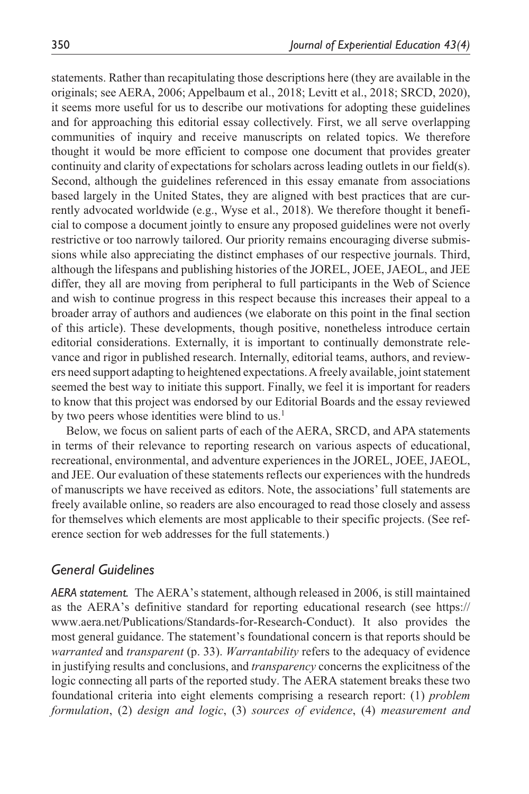statements. Rather than recapitulating those descriptions here (they are available in the originals; see AERA, 2006; Appelbaum et al., 2018; Levitt et al., 2018; SRCD, 2020), it seems more useful for us to describe our motivations for adopting these guidelines and for approaching this editorial essay collectively. First, we all serve overlapping communities of inquiry and receive manuscripts on related topics. We therefore thought it would be more efficient to compose one document that provides greater continuity and clarity of expectations for scholars across leading outlets in our field(s). Second, although the guidelines referenced in this essay emanate from associations based largely in the United States, they are aligned with best practices that are currently advocated worldwide (e.g., Wyse et al., 2018). We therefore thought it beneficial to compose a document jointly to ensure any proposed guidelines were not overly restrictive or too narrowly tailored. Our priority remains encouraging diverse submissions while also appreciating the distinct emphases of our respective journals. Third, although the lifespans and publishing histories of the JOREL, JOEE, JAEOL, and JEE differ, they all are moving from peripheral to full participants in the Web of Science and wish to continue progress in this respect because this increases their appeal to a broader array of authors and audiences (we elaborate on this point in the final section of this article). These developments, though positive, nonetheless introduce certain editorial considerations. Externally, it is important to continually demonstrate relevance and rigor in published research. Internally, editorial teams, authors, and reviewers need support adapting to heightened expectations. A freely available, joint statement seemed the best way to initiate this support. Finally, we feel it is important for readers to know that this project was endorsed by our Editorial Boards and the essay reviewed by two peers whose identities were blind to us.<sup>1</sup>

Below, we focus on salient parts of each of the AERA, SRCD, and APA statements in terms of their relevance to reporting research on various aspects of educational, recreational, environmental, and adventure experiences in the JOREL, JOEE, JAEOL, and JEE. Our evaluation of these statements reflects our experiences with the hundreds of manuscripts we have received as editors. Note, the associations' full statements are freely available online, so readers are also encouraged to read those closely and assess for themselves which elements are most applicable to their specific projects. (See reference section for web addresses for the full statements.)

## *General Guidelines*

*AERA statement.* The AERA's statement, although released in 2006, is still maintained as the AERA's definitive standard for reporting educational research (see [https://](https://www.aera.net/Publications/Standards-for-Research-Conduct) [www.aera.net/Publications/Standards-for-Research-Conduct](https://www.aera.net/Publications/Standards-for-Research-Conduct)). It also provides the most general guidance. The statement's foundational concern is that reports should be *warranted* and *transparent* (p. 33). *Warrantability* refers to the adequacy of evidence in justifying results and conclusions, and *transparency* concerns the explicitness of the logic connecting all parts of the reported study. The AERA statement breaks these two foundational criteria into eight elements comprising a research report: (1) *problem formulation*, (2) *design and logic*, (3) *sources of evidence*, (4) *measurement and*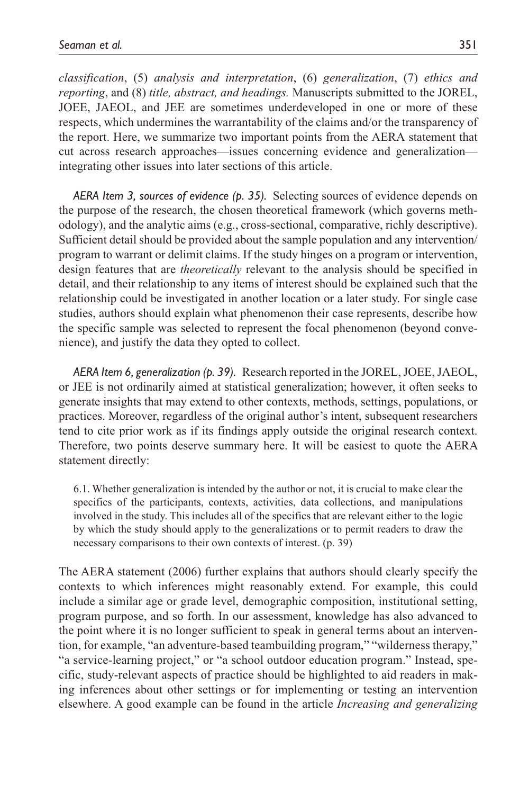*classification*, (5) *analysis and interpretation*, (6) *generalization*, (7) *ethics and reporting*, and (8) *title, abstract, and headings.* Manuscripts submitted to the JOREL, JOEE, JAEOL, and JEE are sometimes underdeveloped in one or more of these respects, which undermines the warrantability of the claims and/or the transparency of the report. Here, we summarize two important points from the AERA statement that cut across research approaches—issues concerning evidence and generalization integrating other issues into later sections of this article.

*AERA Item 3, sources of evidence (p. 35).* Selecting sources of evidence depends on the purpose of the research, the chosen theoretical framework (which governs methodology), and the analytic aims (e.g., cross-sectional, comparative, richly descriptive). Sufficient detail should be provided about the sample population and any intervention/ program to warrant or delimit claims. If the study hinges on a program or intervention, design features that are *theoretically* relevant to the analysis should be specified in detail, and their relationship to any items of interest should be explained such that the relationship could be investigated in another location or a later study. For single case studies, authors should explain what phenomenon their case represents, describe how the specific sample was selected to represent the focal phenomenon (beyond convenience), and justify the data they opted to collect.

*AERA Item 6, generalization (p. 39).* Research reported in the JOREL, JOEE, JAEOL, or JEE is not ordinarily aimed at statistical generalization; however, it often seeks to generate insights that may extend to other contexts, methods, settings, populations, or practices. Moreover, regardless of the original author's intent, subsequent researchers tend to cite prior work as if its findings apply outside the original research context. Therefore, two points deserve summary here. It will be easiest to quote the AERA statement directly:

6.1. Whether generalization is intended by the author or not, it is crucial to make clear the specifics of the participants, contexts, activities, data collections, and manipulations involved in the study. This includes all of the specifics that are relevant either to the logic by which the study should apply to the generalizations or to permit readers to draw the necessary comparisons to their own contexts of interest. (p. 39)

The AERA statement (2006) further explains that authors should clearly specify the contexts to which inferences might reasonably extend. For example, this could include a similar age or grade level, demographic composition, institutional setting, program purpose, and so forth. In our assessment, knowledge has also advanced to the point where it is no longer sufficient to speak in general terms about an intervention, for example, "an adventure-based teambuilding program," "wilderness therapy," "a service-learning project," or "a school outdoor education program." Instead, specific, study-relevant aspects of practice should be highlighted to aid readers in making inferences about other settings or for implementing or testing an intervention elsewhere. A good example can be found in the article *Increasing and generalizing*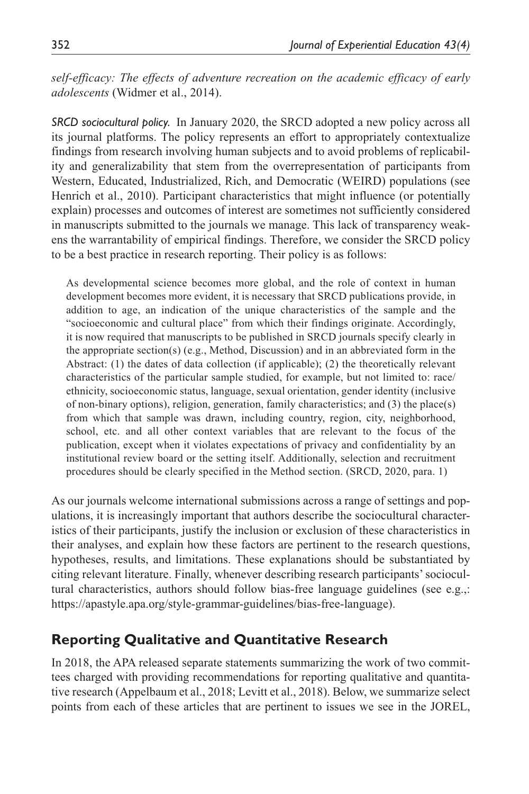*self-efficacy: The effects of adventure recreation on the academic efficacy of early adolescents* (Widmer et al., 2014).

*SRCD sociocultural policy.* In January 2020, the SRCD adopted a new policy across all its journal platforms. The policy represents an effort to appropriately contextualize findings from research involving human subjects and to avoid problems of replicability and generalizability that stem from the overrepresentation of participants from Western, Educated, Industrialized, Rich, and Democratic (WEIRD) populations (see Henrich et al., 2010). Participant characteristics that might influence (or potentially explain) processes and outcomes of interest are sometimes not sufficiently considered in manuscripts submitted to the journals we manage. This lack of transparency weakens the warrantability of empirical findings. Therefore, we consider the SRCD policy to be a best practice in research reporting. Their policy is as follows:

As developmental science becomes more global, and the role of context in human development becomes more evident, it is necessary that SRCD publications provide, in addition to age, an indication of the unique characteristics of the sample and the "socioeconomic and cultural place" from which their findings originate. Accordingly, it is now required that manuscripts to be published in SRCD journals specify clearly in the appropriate section(s) (e.g., Method, Discussion) and in an abbreviated form in the Abstract: (1) the dates of data collection (if applicable); (2) the theoretically relevant characteristics of the particular sample studied, for example, but not limited to: race/ ethnicity, socioeconomic status, language, sexual orientation, gender identity (inclusive of non-binary options), religion, generation, family characteristics; and (3) the place(s) from which that sample was drawn, including country, region, city, neighborhood, school, etc. and all other context variables that are relevant to the focus of the publication, except when it violates expectations of privacy and confidentiality by an institutional review board or the setting itself. Additionally, selection and recruitment procedures should be clearly specified in the Method section. (SRCD, 2020, para. 1)

As our journals welcome international submissions across a range of settings and populations, it is increasingly important that authors describe the sociocultural characteristics of their participants, justify the inclusion or exclusion of these characteristics in their analyses, and explain how these factors are pertinent to the research questions, hypotheses, results, and limitations. These explanations should be substantiated by citing relevant literature. Finally, whenever describing research participants' sociocultural characteristics, authors should follow bias-free language guidelines (see e.g.,: https://apastyle.apa.org/style-grammar-guidelines/bias-free-language).

# **Reporting Qualitative and Quantitative Research**

In 2018, the APA released separate statements summarizing the work of two committees charged with providing recommendations for reporting qualitative and quantitative research (Appelbaum et al., 2018; Levitt et al., 2018). Below, we summarize select points from each of these articles that are pertinent to issues we see in the JOREL,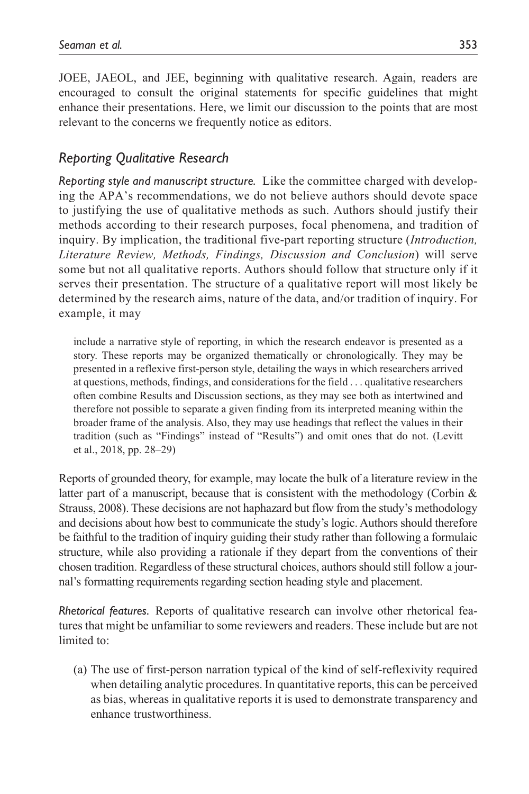JOEE, JAEOL, and JEE, beginning with qualitative research. Again, readers are encouraged to consult the original statements for specific guidelines that might enhance their presentations. Here, we limit our discussion to the points that are most relevant to the concerns we frequently notice as editors.

## *Reporting Qualitative Research*

*Reporting style and manuscript structure.* Like the committee charged with developing the APA's recommendations, we do not believe authors should devote space to justifying the use of qualitative methods as such. Authors should justify their methods according to their research purposes, focal phenomena, and tradition of inquiry. By implication, the traditional five-part reporting structure (*Introduction, Literature Review, Methods, Findings, Discussion and Conclusion*) will serve some but not all qualitative reports. Authors should follow that structure only if it serves their presentation. The structure of a qualitative report will most likely be determined by the research aims, nature of the data, and/or tradition of inquiry. For example, it may

include a narrative style of reporting, in which the research endeavor is presented as a story. These reports may be organized thematically or chronologically. They may be presented in a reflexive first-person style, detailing the ways in which researchers arrived at questions, methods, findings, and considerations for the field . . . qualitative researchers often combine Results and Discussion sections, as they may see both as intertwined and therefore not possible to separate a given finding from its interpreted meaning within the broader frame of the analysis. Also, they may use headings that reflect the values in their tradition (such as "Findings" instead of "Results") and omit ones that do not. (Levitt et al., 2018, pp. 28–29)

Reports of grounded theory, for example, may locate the bulk of a literature review in the latter part of a manuscript, because that is consistent with the methodology (Corbin  $\&$ Strauss, 2008). These decisions are not haphazard but flow from the study's methodology and decisions about how best to communicate the study's logic. Authors should therefore be faithful to the tradition of inquiry guiding their study rather than following a formulaic structure, while also providing a rationale if they depart from the conventions of their chosen tradition. Regardless of these structural choices, authors should still follow a journal's formatting requirements regarding section heading style and placement.

*Rhetorical features.* Reports of qualitative research can involve other rhetorical features that might be unfamiliar to some reviewers and readers. These include but are not limited to:

(a) The use of first-person narration typical of the kind of self-reflexivity required when detailing analytic procedures. In quantitative reports, this can be perceived as bias, whereas in qualitative reports it is used to demonstrate transparency and enhance trustworthiness.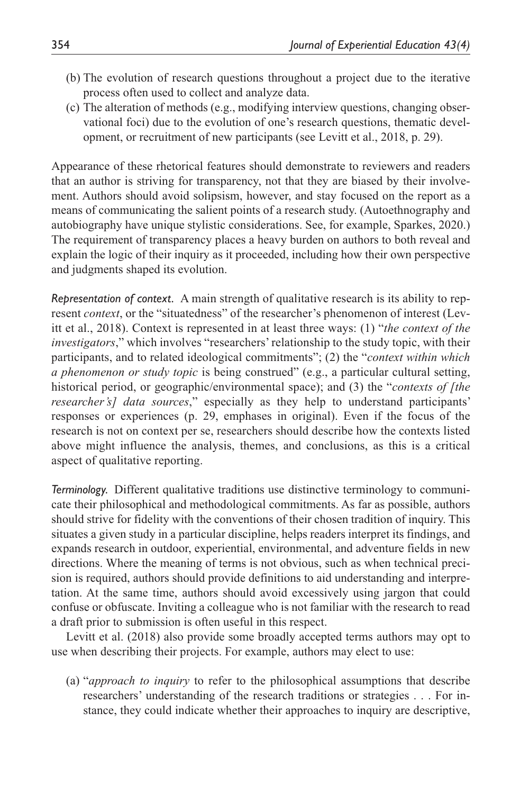- (b) The evolution of research questions throughout a project due to the iterative process often used to collect and analyze data.
- (c) The alteration of methods (e.g., modifying interview questions, changing observational foci) due to the evolution of one's research questions, thematic development, or recruitment of new participants (see Levitt et al., 2018, p. 29).

Appearance of these rhetorical features should demonstrate to reviewers and readers that an author is striving for transparency, not that they are biased by their involvement. Authors should avoid solipsism, however, and stay focused on the report as a means of communicating the salient points of a research study. (Autoethnography and autobiography have unique stylistic considerations. See, for example, Sparkes, 2020.) The requirement of transparency places a heavy burden on authors to both reveal and explain the logic of their inquiry as it proceeded, including how their own perspective and judgments shaped its evolution.

*Representation of context.* A main strength of qualitative research is its ability to represent *context*, or the "situatedness" of the researcher's phenomenon of interest (Levitt et al., 2018). Context is represented in at least three ways: (1) "*the context of the investigators*," which involves "researchers' relationship to the study topic, with their participants, and to related ideological commitments"; (2) the "*context within which a phenomenon or study topic* is being construed" (e.g., a particular cultural setting, historical period, or geographic/environmental space); and (3) the "*contexts of [the researcher's] data sources*," especially as they help to understand participants' responses or experiences (p. 29, emphases in original). Even if the focus of the research is not on context per se, researchers should describe how the contexts listed above might influence the analysis, themes, and conclusions, as this is a critical aspect of qualitative reporting.

*Terminology.* Different qualitative traditions use distinctive terminology to communicate their philosophical and methodological commitments. As far as possible, authors should strive for fidelity with the conventions of their chosen tradition of inquiry. This situates a given study in a particular discipline, helps readers interpret its findings, and expands research in outdoor, experiential, environmental, and adventure fields in new directions. Where the meaning of terms is not obvious, such as when technical precision is required, authors should provide definitions to aid understanding and interpretation. At the same time, authors should avoid excessively using jargon that could confuse or obfuscate. Inviting a colleague who is not familiar with the research to read a draft prior to submission is often useful in this respect.

Levitt et al. (2018) also provide some broadly accepted terms authors may opt to use when describing their projects. For example, authors may elect to use:

(a) "*approach to inquiry* to refer to the philosophical assumptions that describe researchers' understanding of the research traditions or strategies . . . For instance, they could indicate whether their approaches to inquiry are descriptive,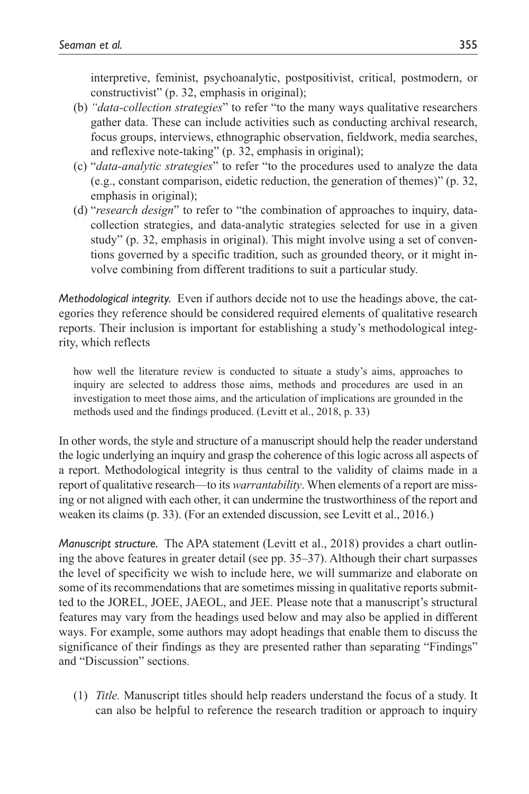interpretive, feminist, psychoanalytic, postpositivist, critical, postmodern, or constructivist" (p. 32, emphasis in original);

- (b) *"data-collection strategies*" to refer "to the many ways qualitative researchers gather data. These can include activities such as conducting archival research, focus groups, interviews, ethnographic observation, fieldwork, media searches, and reflexive note-taking" (p. 32, emphasis in original);
- (c) "*data-analytic strategies*" to refer "to the procedures used to analyze the data (e.g., constant comparison, eidetic reduction, the generation of themes)" (p. 32, emphasis in original);
- (d) "*research design*" to refer to "the combination of approaches to inquiry, datacollection strategies, and data-analytic strategies selected for use in a given study" (p. 32, emphasis in original). This might involve using a set of conventions governed by a specific tradition, such as grounded theory, or it might involve combining from different traditions to suit a particular study.

*Methodological integrity.* Even if authors decide not to use the headings above, the categories they reference should be considered required elements of qualitative research reports. Their inclusion is important for establishing a study's methodological integrity, which reflects

how well the literature review is conducted to situate a study's aims, approaches to inquiry are selected to address those aims, methods and procedures are used in an investigation to meet those aims, and the articulation of implications are grounded in the methods used and the findings produced. (Levitt et al., 2018, p. 33)

In other words, the style and structure of a manuscript should help the reader understand the logic underlying an inquiry and grasp the coherence of this logic across all aspects of a report. Methodological integrity is thus central to the validity of claims made in a report of qualitative research—to its *warrantability*. When elements of a report are missing or not aligned with each other, it can undermine the trustworthiness of the report and weaken its claims (p. 33). (For an extended discussion, see Levitt et al., 2016.)

*Manuscript structure.* The APA statement (Levitt et al., 2018) provides a chart outlining the above features in greater detail (see pp. 35–37). Although their chart surpasses the level of specificity we wish to include here, we will summarize and elaborate on some of its recommendations that are sometimes missing in qualitative reports submitted to the JOREL, JOEE, JAEOL, and JEE. Please note that a manuscript's structural features may vary from the headings used below and may also be applied in different ways. For example, some authors may adopt headings that enable them to discuss the significance of their findings as they are presented rather than separating "Findings" and "Discussion" sections.

(1) *Title.* Manuscript titles should help readers understand the focus of a study. It can also be helpful to reference the research tradition or approach to inquiry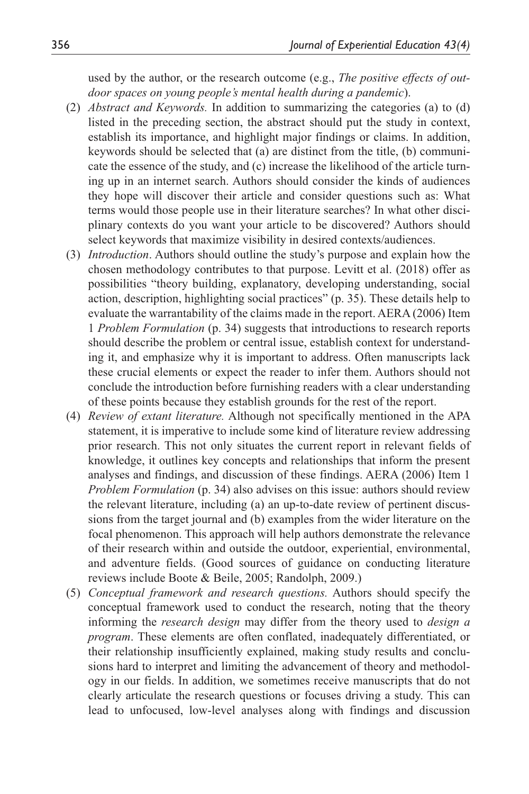used by the author, or the research outcome (e.g., *The positive effects of outdoor spaces on young people's mental health during a pandemic*).

- (2) *Abstract and Keywords.* In addition to summarizing the categories (a) to (d) listed in the preceding section, the abstract should put the study in context, establish its importance, and highlight major findings or claims. In addition, keywords should be selected that (a) are distinct from the title, (b) communicate the essence of the study, and (c) increase the likelihood of the article turning up in an internet search. Authors should consider the kinds of audiences they hope will discover their article and consider questions such as: What terms would those people use in their literature searches? In what other disciplinary contexts do you want your article to be discovered? Authors should select keywords that maximize visibility in desired contexts/audiences.
- (3) *Introduction*. Authors should outline the study's purpose and explain how the chosen methodology contributes to that purpose. Levitt et al. (2018) offer as possibilities "theory building, explanatory, developing understanding, social action, description, highlighting social practices" (p. 35). These details help to evaluate the warrantability of the claims made in the report. AERA (2006) Item 1 *Problem Formulation* (p. 34) suggests that introductions to research reports should describe the problem or central issue, establish context for understanding it, and emphasize why it is important to address. Often manuscripts lack these crucial elements or expect the reader to infer them. Authors should not conclude the introduction before furnishing readers with a clear understanding of these points because they establish grounds for the rest of the report.
- (4) *Review of extant literature.* Although not specifically mentioned in the APA statement, it is imperative to include some kind of literature review addressing prior research. This not only situates the current report in relevant fields of knowledge, it outlines key concepts and relationships that inform the present analyses and findings, and discussion of these findings. AERA (2006) Item 1 *Problem Formulation* (p. 34) also advises on this issue: authors should review the relevant literature, including (a) an up-to-date review of pertinent discussions from the target journal and (b) examples from the wider literature on the focal phenomenon. This approach will help authors demonstrate the relevance of their research within and outside the outdoor, experiential, environmental, and adventure fields. (Good sources of guidance on conducting literature reviews include Boote & Beile, 2005; Randolph, 2009.)
- (5) *Conceptual framework and research questions.* Authors should specify the conceptual framework used to conduct the research, noting that the theory informing the *research design* may differ from the theory used to *design a program*. These elements are often conflated, inadequately differentiated, or their relationship insufficiently explained, making study results and conclusions hard to interpret and limiting the advancement of theory and methodology in our fields. In addition, we sometimes receive manuscripts that do not clearly articulate the research questions or focuses driving a study. This can lead to unfocused, low-level analyses along with findings and discussion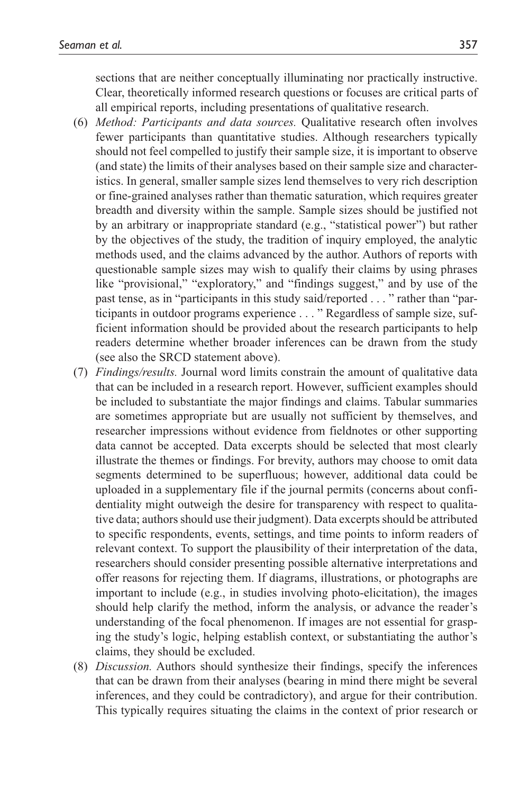sections that are neither conceptually illuminating nor practically instructive. Clear, theoretically informed research questions or focuses are critical parts of all empirical reports, including presentations of qualitative research.

- (6) *Method: Participants and data sources.* Qualitative research often involves fewer participants than quantitative studies. Although researchers typically should not feel compelled to justify their sample size, it is important to observe (and state) the limits of their analyses based on their sample size and characteristics. In general, smaller sample sizes lend themselves to very rich description or fine-grained analyses rather than thematic saturation, which requires greater breadth and diversity within the sample. Sample sizes should be justified not by an arbitrary or inappropriate standard (e.g., "statistical power") but rather by the objectives of the study, the tradition of inquiry employed, the analytic methods used, and the claims advanced by the author. Authors of reports with questionable sample sizes may wish to qualify their claims by using phrases like "provisional," "exploratory," and "findings suggest," and by use of the past tense, as in "participants in this study said/reported . . . " rather than "participants in outdoor programs experience . . . " Regardless of sample size, sufficient information should be provided about the research participants to help readers determine whether broader inferences can be drawn from the study (see also the SRCD statement above).
- (7) *Findings/results.* Journal word limits constrain the amount of qualitative data that can be included in a research report. However, sufficient examples should be included to substantiate the major findings and claims. Tabular summaries are sometimes appropriate but are usually not sufficient by themselves, and researcher impressions without evidence from fieldnotes or other supporting data cannot be accepted. Data excerpts should be selected that most clearly illustrate the themes or findings. For brevity, authors may choose to omit data segments determined to be superfluous; however, additional data could be uploaded in a supplementary file if the journal permits (concerns about confidentiality might outweigh the desire for transparency with respect to qualitative data; authors should use their judgment). Data excerpts should be attributed to specific respondents, events, settings, and time points to inform readers of relevant context. To support the plausibility of their interpretation of the data, researchers should consider presenting possible alternative interpretations and offer reasons for rejecting them. If diagrams, illustrations, or photographs are important to include (e.g., in studies involving photo-elicitation), the images should help clarify the method, inform the analysis, or advance the reader's understanding of the focal phenomenon. If images are not essential for grasping the study's logic, helping establish context, or substantiating the author's claims, they should be excluded.
- (8) *Discussion.* Authors should synthesize their findings, specify the inferences that can be drawn from their analyses (bearing in mind there might be several inferences, and they could be contradictory), and argue for their contribution. This typically requires situating the claims in the context of prior research or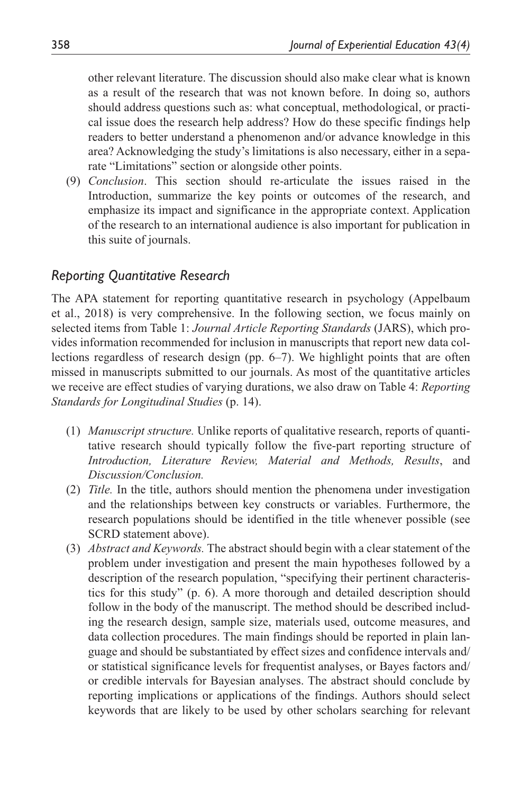other relevant literature. The discussion should also make clear what is known as a result of the research that was not known before. In doing so, authors should address questions such as: what conceptual, methodological, or practical issue does the research help address? How do these specific findings help readers to better understand a phenomenon and/or advance knowledge in this area? Acknowledging the study's limitations is also necessary, either in a separate "Limitations" section or alongside other points.

(9) *Conclusion*. This section should re-articulate the issues raised in the Introduction, summarize the key points or outcomes of the research, and emphasize its impact and significance in the appropriate context. Application of the research to an international audience is also important for publication in this suite of journals.

## *Reporting Quantitative Research*

The APA statement for reporting quantitative research in psychology (Appelbaum et al., 2018) is very comprehensive. In the following section, we focus mainly on selected items from Table 1: *Journal Article Reporting Standards* (JARS), which provides information recommended for inclusion in manuscripts that report new data collections regardless of research design (pp. 6–7). We highlight points that are often missed in manuscripts submitted to our journals. As most of the quantitative articles we receive are effect studies of varying durations, we also draw on Table 4: *Reporting Standards for Longitudinal Studies* (p. 14).

- (1) *Manuscript structure.* Unlike reports of qualitative research, reports of quantitative research should typically follow the five-part reporting structure of *Introduction, Literature Review, Material and Methods, Results*, and *Discussion/Conclusion.*
- (2) *Title.* In the title, authors should mention the phenomena under investigation and the relationships between key constructs or variables. Furthermore, the research populations should be identified in the title whenever possible (see SCRD statement above).
- (3) *Abstract and Keywords.* The abstract should begin with a clear statement of the problem under investigation and present the main hypotheses followed by a description of the research population, "specifying their pertinent characteristics for this study" (p. 6). A more thorough and detailed description should follow in the body of the manuscript. The method should be described including the research design, sample size, materials used, outcome measures, and data collection procedures. The main findings should be reported in plain language and should be substantiated by effect sizes and confidence intervals and/ or statistical significance levels for frequentist analyses, or Bayes factors and/ or credible intervals for Bayesian analyses. The abstract should conclude by reporting implications or applications of the findings. Authors should select keywords that are likely to be used by other scholars searching for relevant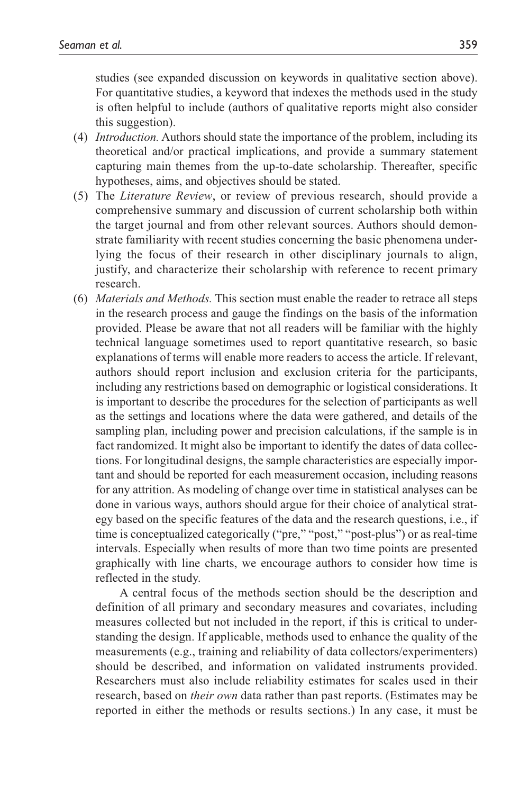studies (see expanded discussion on keywords in qualitative section above). For quantitative studies, a keyword that indexes the methods used in the study is often helpful to include (authors of qualitative reports might also consider this suggestion).

- (4) *Introduction.* Authors should state the importance of the problem, including its theoretical and/or practical implications, and provide a summary statement capturing main themes from the up-to-date scholarship. Thereafter, specific hypotheses, aims, and objectives should be stated.
- (5) The *Literature Review*, or review of previous research, should provide a comprehensive summary and discussion of current scholarship both within the target journal and from other relevant sources. Authors should demonstrate familiarity with recent studies concerning the basic phenomena underlying the focus of their research in other disciplinary journals to align, justify, and characterize their scholarship with reference to recent primary research.
- (6) *Materials and Methods.* This section must enable the reader to retrace all steps in the research process and gauge the findings on the basis of the information provided. Please be aware that not all readers will be familiar with the highly technical language sometimes used to report quantitative research, so basic explanations of terms will enable more readers to access the article. If relevant, authors should report inclusion and exclusion criteria for the participants, including any restrictions based on demographic or logistical considerations. It is important to describe the procedures for the selection of participants as well as the settings and locations where the data were gathered, and details of the sampling plan, including power and precision calculations, if the sample is in fact randomized. It might also be important to identify the dates of data collections. For longitudinal designs, the sample characteristics are especially important and should be reported for each measurement occasion, including reasons for any attrition. As modeling of change over time in statistical analyses can be done in various ways, authors should argue for their choice of analytical strategy based on the specific features of the data and the research questions, i.e., if time is conceptualized categorically ("pre," "post," "post-plus") or as real-time intervals. Especially when results of more than two time points are presented graphically with line charts, we encourage authors to consider how time is reflected in the study.

 A central focus of the methods section should be the description and definition of all primary and secondary measures and covariates, including measures collected but not included in the report, if this is critical to understanding the design. If applicable, methods used to enhance the quality of the measurements (e.g., training and reliability of data collectors/experimenters) should be described, and information on validated instruments provided. Researchers must also include reliability estimates for scales used in their research, based on *their own* data rather than past reports. (Estimates may be reported in either the methods or results sections.) In any case, it must be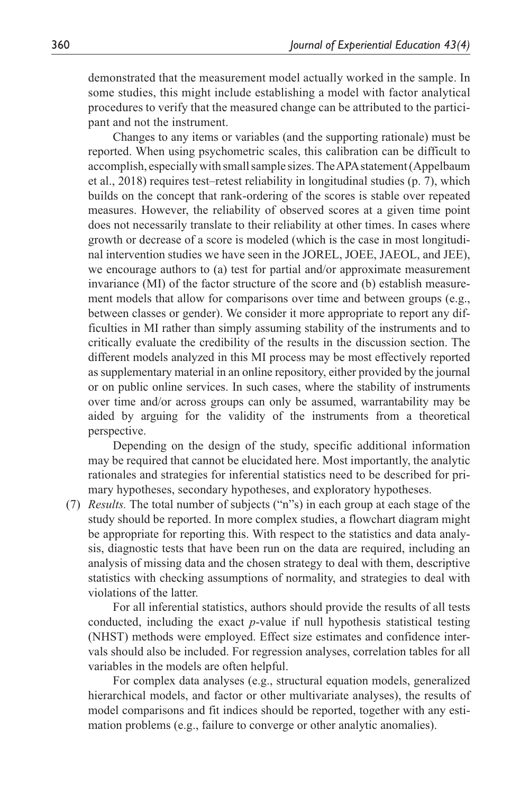demonstrated that the measurement model actually worked in the sample. In some studies, this might include establishing a model with factor analytical procedures to verify that the measured change can be attributed to the participant and not the instrument.

 Changes to any items or variables (and the supporting rationale) must be reported. When using psychometric scales, this calibration can be difficult to accomplish, especially with small sample sizes. The APA statement (Appelbaum et al., 2018) requires test–retest reliability in longitudinal studies (p. 7), which builds on the concept that rank-ordering of the scores is stable over repeated measures. However, the reliability of observed scores at a given time point does not necessarily translate to their reliability at other times. In cases where growth or decrease of a score is modeled (which is the case in most longitudinal intervention studies we have seen in the JOREL, JOEE, JAEOL, and JEE), we encourage authors to (a) test for partial and/or approximate measurement invariance (MI) of the factor structure of the score and (b) establish measurement models that allow for comparisons over time and between groups (e.g., between classes or gender). We consider it more appropriate to report any difficulties in MI rather than simply assuming stability of the instruments and to critically evaluate the credibility of the results in the discussion section. The different models analyzed in this MI process may be most effectively reported as supplementary material in an online repository, either provided by the journal or on public online services. In such cases, where the stability of instruments over time and/or across groups can only be assumed, warrantability may be aided by arguing for the validity of the instruments from a theoretical perspective.

 Depending on the design of the study, specific additional information may be required that cannot be elucidated here. Most importantly, the analytic rationales and strategies for inferential statistics need to be described for primary hypotheses, secondary hypotheses, and exploratory hypotheses.

(7) *Results.* The total number of subjects ("n"s) in each group at each stage of the study should be reported. In more complex studies, a flowchart diagram might be appropriate for reporting this. With respect to the statistics and data analysis, diagnostic tests that have been run on the data are required, including an analysis of missing data and the chosen strategy to deal with them, descriptive statistics with checking assumptions of normality, and strategies to deal with violations of the latter.

 For all inferential statistics, authors should provide the results of all tests conducted, including the exact *p*-value if null hypothesis statistical testing (NHST) methods were employed. Effect size estimates and confidence intervals should also be included. For regression analyses, correlation tables for all variables in the models are often helpful.

 For complex data analyses (e.g., structural equation models, generalized hierarchical models, and factor or other multivariate analyses), the results of model comparisons and fit indices should be reported, together with any estimation problems (e.g., failure to converge or other analytic anomalies).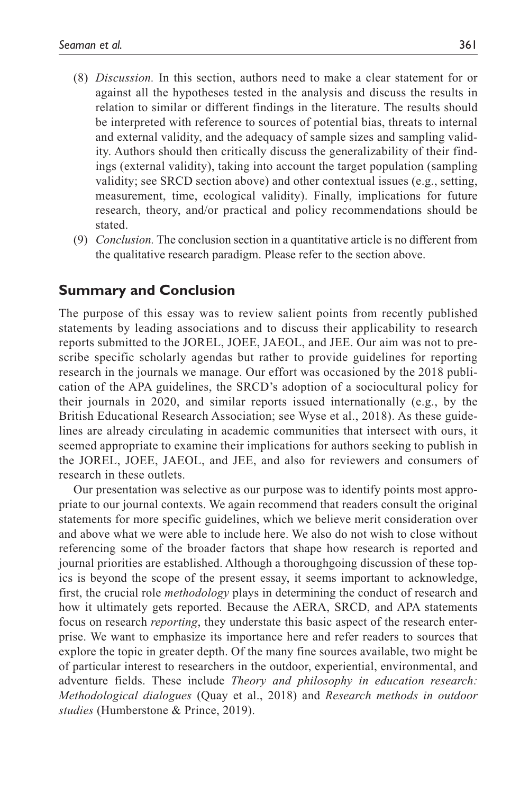- (8) *Discussion.* In this section, authors need to make a clear statement for or against all the hypotheses tested in the analysis and discuss the results in relation to similar or different findings in the literature. The results should be interpreted with reference to sources of potential bias, threats to internal and external validity, and the adequacy of sample sizes and sampling validity. Authors should then critically discuss the generalizability of their findings (external validity), taking into account the target population (sampling validity; see SRCD section above) and other contextual issues (e.g., setting, measurement, time, ecological validity). Finally, implications for future research, theory, and/or practical and policy recommendations should be stated.
- (9) *Conclusion.* The conclusion section in a quantitative article is no different from the qualitative research paradigm. Please refer to the section above.

## **Summary and Conclusion**

The purpose of this essay was to review salient points from recently published statements by leading associations and to discuss their applicability to research reports submitted to the JOREL, JOEE, JAEOL, and JEE. Our aim was not to prescribe specific scholarly agendas but rather to provide guidelines for reporting research in the journals we manage. Our effort was occasioned by the 2018 publication of the APA guidelines, the SRCD's adoption of a sociocultural policy for their journals in 2020, and similar reports issued internationally (e.g., by the British Educational Research Association; see Wyse et al., 2018). As these guidelines are already circulating in academic communities that intersect with ours, it seemed appropriate to examine their implications for authors seeking to publish in the JOREL, JOEE, JAEOL, and JEE, and also for reviewers and consumers of research in these outlets.

Our presentation was selective as our purpose was to identify points most appropriate to our journal contexts. We again recommend that readers consult the original statements for more specific guidelines, which we believe merit consideration over and above what we were able to include here. We also do not wish to close without referencing some of the broader factors that shape how research is reported and journal priorities are established. Although a thoroughgoing discussion of these topics is beyond the scope of the present essay, it seems important to acknowledge, first, the crucial role *methodology* plays in determining the conduct of research and how it ultimately gets reported. Because the AERA, SRCD, and APA statements focus on research *reporting*, they understate this basic aspect of the research enterprise. We want to emphasize its importance here and refer readers to sources that explore the topic in greater depth. Of the many fine sources available, two might be of particular interest to researchers in the outdoor, experiential, environmental, and adventure fields. These include *Theory and philosophy in education research: Methodological dialogues* (Quay et al., 2018) and *Research methods in outdoor studies* (Humberstone & Prince, 2019).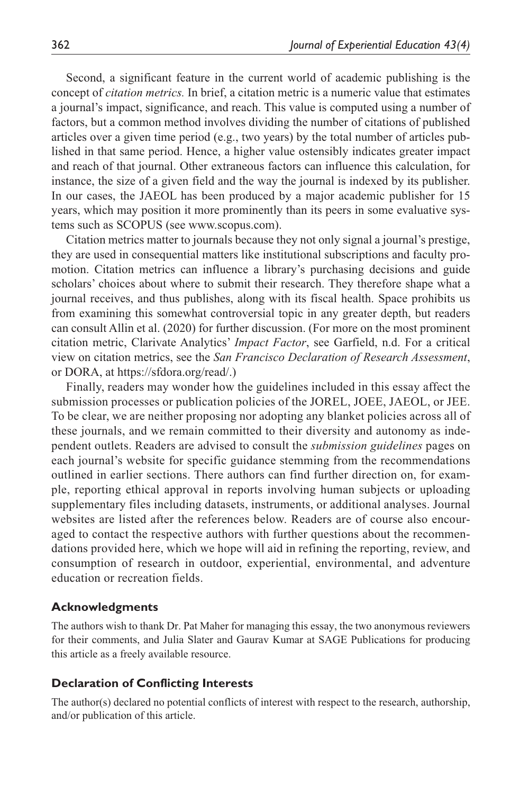Second, a significant feature in the current world of academic publishing is the concept of *citation metrics.* In brief, a citation metric is a numeric value that estimates a journal's impact, significance, and reach. This value is computed using a number of factors, but a common method involves dividing the number of citations of published articles over a given time period (e.g., two years) by the total number of articles published in that same period. Hence, a higher value ostensibly indicates greater impact and reach of that journal. Other extraneous factors can influence this calculation, for instance, the size of a given field and the way the journal is indexed by its publisher. In our cases, the JAEOL has been produced by a major academic publisher for 15 years, which may position it more prominently than its peers in some evaluative systems such as SCOPUS (see <www.scopus.com>).

Citation metrics matter to journals because they not only signal a journal's prestige, they are used in consequential matters like institutional subscriptions and faculty promotion. Citation metrics can influence a library's purchasing decisions and guide scholars' choices about where to submit their research. They therefore shape what a journal receives, and thus publishes, along with its fiscal health. Space prohibits us from examining this somewhat controversial topic in any greater depth, but readers can consult Allin et al. (2020) for further discussion. (For more on the most prominent citation metric, Clarivate Analytics' *Impact Factor*, see Garfield, n.d. For a critical view on citation metrics, see the *San Francisco Declaration of Research Assessment*, or DORA, at <https://sfdora.org/read/>.)

Finally, readers may wonder how the guidelines included in this essay affect the submission processes or publication policies of the JOREL, JOEE, JAEOL, or JEE. To be clear, we are neither proposing nor adopting any blanket policies across all of these journals, and we remain committed to their diversity and autonomy as independent outlets. Readers are advised to consult the *submission guidelines* pages on each journal's website for specific guidance stemming from the recommendations outlined in earlier sections. There authors can find further direction on, for example, reporting ethical approval in reports involving human subjects or uploading supplementary files including datasets, instruments, or additional analyses. Journal websites are listed after the references below. Readers are of course also encouraged to contact the respective authors with further questions about the recommendations provided here, which we hope will aid in refining the reporting, review, and consumption of research in outdoor, experiential, environmental, and adventure education or recreation fields.

### **Acknowledgments**

The authors wish to thank Dr. Pat Maher for managing this essay, the two anonymous reviewers for their comments, and Julia Slater and Gaurav Kumar at SAGE Publications for producing this article as a freely available resource.

### **Declaration of Conflicting Interests**

The author(s) declared no potential conflicts of interest with respect to the research, authorship, and/or publication of this article.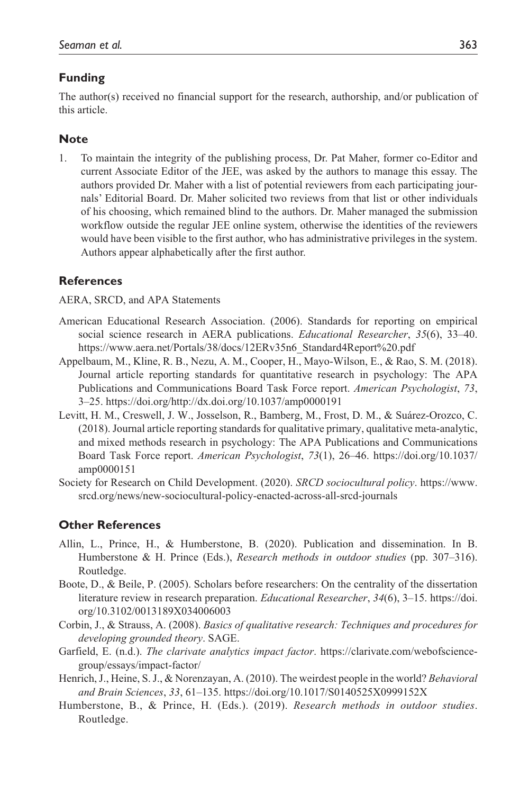## **Funding**

The author(s) received no financial support for the research, authorship, and/or publication of this article.

## **Note**

1. To maintain the integrity of the publishing process, Dr. Pat Maher, former co-Editor and current Associate Editor of the JEE, was asked by the authors to manage this essay. The authors provided Dr. Maher with a list of potential reviewers from each participating journals' Editorial Board. Dr. Maher solicited two reviews from that list or other individuals of his choosing, which remained blind to the authors. Dr. Maher managed the submission workflow outside the regular JEE online system, otherwise the identities of the reviewers would have been visible to the first author, who has administrative privileges in the system. Authors appear alphabetically after the first author.

## **References**

AERA, SRCD, and APA Statements

- American Educational Research Association. (2006). Standards for reporting on empirical social science research in AERA publications. *Educational Researcher*, *35*(6), 33–40. [https://www.aera.net/Portals/38/docs/12ERv35n6\\_Standard4Report%20.pdf](https://www.aera.net/Portals/38/docs/12ERv35n6_Standard4Report%20.pdf)
- Appelbaum, M., Kline, R. B., Nezu, A. M., Cooper, H., Mayo-Wilson, E., & Rao, S. M. (2018). Journal article reporting standards for quantitative research in psychology: The APA Publications and Communications Board Task Force report. *American Psychologist*, *73*, 3–25. https://doi.org/http://dx.doi.org/10.1037/amp0000191
- Levitt, H. M., Creswell, J. W., Josselson, R., Bamberg, M., Frost, D. M., & Suárez-Orozco, C. (2018). Journal article reporting standards for qualitative primary, qualitative meta-analytic, and mixed methods research in psychology: The APA Publications and Communications Board Task Force report. *American Psychologist*, *73*(1), 26–46. https://doi.org/10.1037/ amp0000151
- Society for Research on Child Development. (2020). *SRCD sociocultural policy*. [https://www.](https://www.srcd.org/news/new-sociocultural-policy-enacted-across-all-srcd-journals) [srcd.org/news/new-sociocultural-policy-enacted-across-all-srcd-journals](https://www.srcd.org/news/new-sociocultural-policy-enacted-across-all-srcd-journals)

## **Other References**

- Allin, L., Prince, H., & Humberstone, B. (2020). Publication and dissemination. In B. Humberstone & H. Prince (Eds.), *Research methods in outdoor studies* (pp. 307–316). Routledge.
- Boote, D., & Beile, P. (2005). Scholars before researchers: On the centrality of the dissertation literature review in research preparation. *Educational Researcher*, *34*(6), 3–15. [https://doi.](https://doi.org/10.3102/0013189X034006003) [org/10.3102/0013189X034006003](https://doi.org/10.3102/0013189X034006003)
- Corbin, J., & Strauss, A. (2008). *Basics of qualitative research: Techniques and procedures for developing grounded theory*. SAGE.
- Garfield, E. (n.d.). *The clarivate analytics impact factor*. https://clarivate.com/webofsciencegroup/essays/impact-factor/
- Henrich, J., Heine, S. J., & Norenzayan, A. (2010). The weirdest people in the world? *Behavioral and Brain Sciences*, *33*, 61–135. https://doi.org/10.1017/S0140525X0999152X
- Humberstone, B., & Prince, H. (Eds.). (2019). *Research methods in outdoor studies*. Routledge.